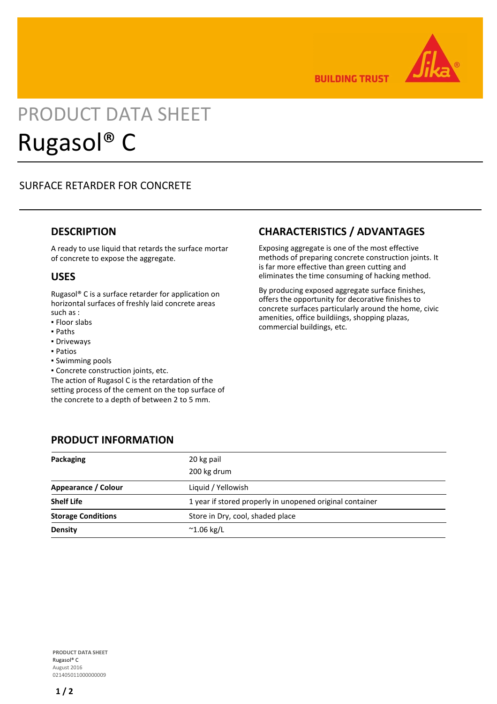

**BUILDING TRUST** 

# PRODUCT DATA SHEET Rugasol® C

# SURFACE RETARDER FOR CONCRETE

#### **DESCRIPTION**

A ready to use liquid that retards the surface mortar of concrete to expose the aggregate.

#### **USES**

Rugasol® C is a surface retarder for application on horizontal surfaces of freshly laid concrete areas such as :

- Floor slabs
- Paths
- Driveways
- Patios
- Swimming pools
- Concrete construction joints, etc.

The action of Rugasol C is the retardation of the setting process of the cement on the top surface of the concrete to a depth of between 2 to 5 mm.

# **CHARACTERISTICS / ADVANTAGES**

Exposing aggregate is one of the most effective methods of preparing concrete construction joints. It is far more effective than green cutting and eliminates the time consuming of hacking method.

By producing exposed aggregate surface finishes, offers the opportunity for decorative finishes to concrete surfaces particularly around the home, civic amenities, office buildiings, shopping plazas, commercial buildings, etc.

#### **PRODUCT INFORMATION**

| Packaging                 | 20 kg pail<br>200 kg drum                                |
|---------------------------|----------------------------------------------------------|
| Appearance / Colour       | Liquid / Yellowish                                       |
| <b>Shelf Life</b>         | 1 year if stored properly in unopened original container |
| <b>Storage Conditions</b> | Store in Dry, cool, shaded place                         |
| <b>Density</b>            | $^{\sim}$ 1.06 kg/L                                      |